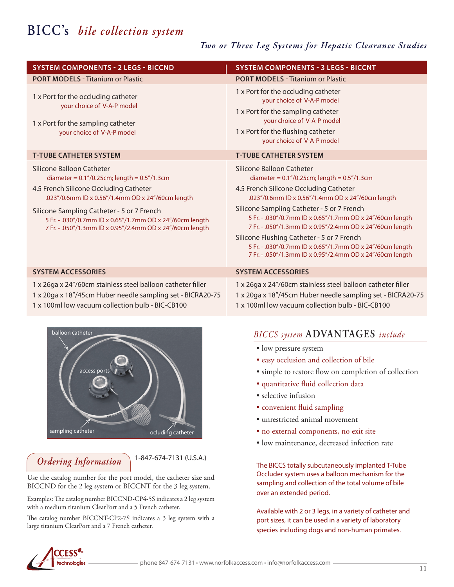# **BICC's** *bile collection system*

## *Two or Three Leg Systems for Hepatic Clearance Studies*

| <b>SYSTEM COMPONENTS - 2 LEGS - BICCND</b>                                                                                                                                                                                                                                                                                                              | <b>SYSTEM COMPONENTS - 3 LEGS - BICCNT</b>                                                                                                                                                                                                                                                                                                                                                                                                                                                                                      |
|---------------------------------------------------------------------------------------------------------------------------------------------------------------------------------------------------------------------------------------------------------------------------------------------------------------------------------------------------------|---------------------------------------------------------------------------------------------------------------------------------------------------------------------------------------------------------------------------------------------------------------------------------------------------------------------------------------------------------------------------------------------------------------------------------------------------------------------------------------------------------------------------------|
| <b>PORT MODELS - Titanium or Plastic</b>                                                                                                                                                                                                                                                                                                                | <b>PORT MODELS - Titanium or Plastic</b>                                                                                                                                                                                                                                                                                                                                                                                                                                                                                        |
| 1 x Port for the occluding catheter<br>your choice of V-A-P model<br>1 x Port for the sampling catheter<br>your choice of V-A-P model                                                                                                                                                                                                                   | 1 x Port for the occluding catheter<br>your choice of V-A-P model<br>1 x Port for the sampling catheter<br>your choice of V-A-P model<br>1 x Port for the flushing catheter<br>your choice of V-A-P model                                                                                                                                                                                                                                                                                                                       |
| <b>T-TUBE CATHETER SYSTEM</b>                                                                                                                                                                                                                                                                                                                           | <b>T-TUBE CATHETER SYSTEM</b>                                                                                                                                                                                                                                                                                                                                                                                                                                                                                                   |
| Silicone Balloon Catheter<br>diameter = $0.1''/0.25$ cm; length = $0.5''/1.3$ cm<br>4.5 French Silicone Occluding Catheter<br>.023"/0.6mm ID x 0.56"/1.4mm OD x 24"/60cm length<br>Silicone Sampling Catheter - 5 or 7 French<br>5 Fr. - .030"/0.7mm ID x 0.65"/1.7mm OD x 24"/60cm length<br>7 Fr. - .050"/1.3mm ID x 0.95"/2.4mm OD x 24"/60cm length | Silicone Balloon Catheter<br>diameter = $0.1''/0.25$ cm; length = $0.5''/1.3$ cm<br>4.5 French Silicone Occluding Catheter<br>.023"/0.6mm ID x 0.56"/1.4mm OD x 24"/60cm length<br>Silicone Sampling Catheter - 5 or 7 French<br>5 Fr. - .030"/0.7mm ID x 0.65"/1.7mm OD x 24"/60cm length<br>7 Fr. - .050"/1.3mm ID x 0.95"/2.4mm OD x 24"/60cm length<br>Silicone Flushing Catheter - 5 or 7 French<br>5 Fr. - .030"/0.7mm ID x 0.65"/1.7mm OD x 24"/60cm length<br>7 Fr. - .050"/1.3mm ID x 0.95"/2.4mm OD x 24"/60cm length |
| <b>SYSTEM ACCESSORIES</b>                                                                                                                                                                                                                                                                                                                               | <b>SYSTEM ACCESSORIES</b>                                                                                                                                                                                                                                                                                                                                                                                                                                                                                                       |
| 1 x 26ga x 24"/60cm stainless steel balloon catheter filler                                                                                                                                                                                                                                                                                             | 1 x 26ga x 24"/60cm stainless steel balloon catheter filler                                                                                                                                                                                                                                                                                                                                                                                                                                                                     |

1 x 20ga x 18"/45cm Huber needle sampling set - BICRA20-75

1 x 100ml low vacuum collection bulb - BIC-CB100



1-847-674-7131 (U.S.A.) *Ordering Information*

Use the catalog number for the port model, the catheter size and BICCND for the 2 leg system or BICCNT for the 3 leg system.

Examples: The catalog number BICCND-CP4-5S indicates a 2 leg system with a medium titanium ClearPort and a 5 French catheter.

The catalog number BICCNT-CP2-7S indicates a 3 leg system with a large titanium ClearPort and a 7 French catheter.

## *BICCS system* **ADVANTAGES** *include*

1 x 20ga x 18"/45cm Huber needle sampling set - BICRA20-75

- low pressure system
- easy occlusion and collection of bile

1 x 100ml low vacuum collection bulb - BIC-CB100

- simple to restore flow on completion of collection
- quantitative fluid collection data
- selective infusion
- convenient fluid sampling
- unrestricted animal movement
- no external components, no exit site
- low maintenance, decreased infection rate

The BICCS totally subcutaneously implanted T-Tube Occluder system uses a balloon mechanism for the sampling and collection of the total volume of bile over an extended period.

Available with 2 or 3 legs, in a variety of catheter and port sizes, it can be used in a variety of laboratory species including dogs and non-human primates.